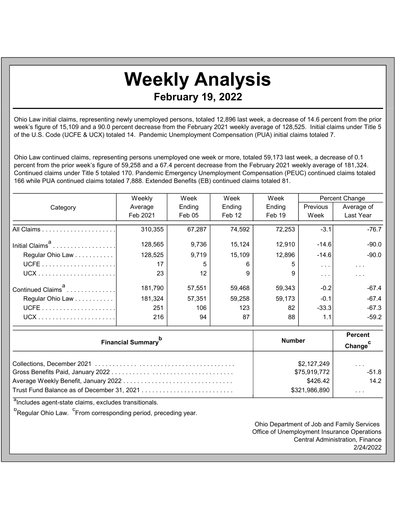## Weekly Analysis

February 19, 2022

Ohio Law initial claims, representing newly unemployed persons, totaled 12,896 last week, a decrease of 14.6 percent from the prior week's figure of 15,109 and a 90.0 percent decrease from the February 2021 weekly average of 128,525. Initial claims under Title 5 of the U.S. Code (UCFE & UCX) totaled 14. Pandemic Unemployment Compensation (PUA) initial claims totaled 7.

Ohio Law continued claims, representing persons unemployed one week or more, totaled 59,173 last week, a decrease of 0.1 percent from the prior week's figure of 59,258 and a 67.4 percent decrease from the February 2021 weekly average of 181,324. Continued claims under Title 5 totaled 170. Pandemic Emergency Unemployment Compensation (PEUC) continued claims totaled 166 while PUA continued claims totaled 7,888. Extended Benefits (EB) continued claims totaled 81.

|                               | Weekly   | Week   | Week   | Week   | Percent Change       |                      |
|-------------------------------|----------|--------|--------|--------|----------------------|----------------------|
| Category                      | Average  | Ending | Ending | Ending | Previous             | Average of           |
|                               | Feb 2021 | Feb 05 | Feb 12 | Feb 19 | Week                 | Last Year            |
|                               | 310,355  | 67,287 | 74,592 | 72,253 | $-3.1$               | $-76.7$              |
| Initial Claims <sup>a</sup>   | 128,565  | 9,736  | 15,124 | 12,910 | $-14.6$              | $-90.0$              |
| Regular Ohio Law              | 128,525  | 9,719  | 15,109 | 12,896 | $-14.6$              | $-90.0$              |
|                               | 17       | 5      | 6      | 5      | $\sim$ $\sim$ $\sim$ | $\sim$ $\sim$ $\sim$ |
|                               | 23       | 12     | 9      | 9      | $\sim$ $\sim$ $\sim$ | $\sim$ $\sim$ $\sim$ |
| Continued Claims <sup>a</sup> | 181,790  | 57.551 | 59,468 | 59.343 | $-0.2$               | $-67.4$              |
| Regular Ohio Law              | 181,324  | 57,351 | 59,258 | 59,173 | $-0.1$               | $-67.4$              |
|                               | 251      | 106    | 123    | 82     | $-33.3$              | $-67.3$              |
|                               | 216      | 94     | 87     | 88     | 1.1                  | $-59.2$              |

| <b>Financial Summary</b> <sup>p</sup> | <b>Number</b>                           | <b>Percent</b><br>Change <sup>c</sup>      |
|---------------------------------------|-----------------------------------------|--------------------------------------------|
|                                       | \$2,127,249<br>\$75,919,772<br>\$426.42 | $\cdot$ $\cdot$ $\cdot$<br>$-51.8$<br>14.2 |
|                                       | \$321,986,890                           | $\cdots$                                   |

a<br>Includes agent-state claims, excludes transitionals.

<sup>b</sup>Regular Ohio Law. <sup>C</sup>From corresponding period, preceding year.

Ohio Department of Job and Family Services Office of Unemployment Insurance Operations Central Administration, Finance 2/24/2022